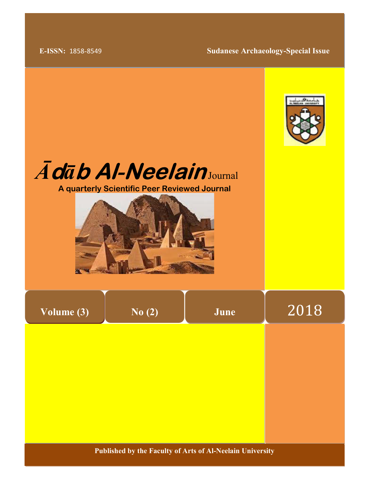E-ISSN: 1858-8549 Sudanese Archaeology-Special Issue







| Volume (3) |  |
|------------|--|
|            |  |

No (2)

June 2018

Published by the Faculty of Arts of Al-Neelain University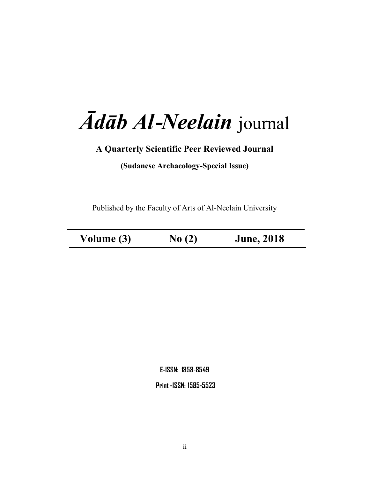# Ādāb Al-Neelain journal

# A Quarterly Scientific Peer Reviewed Journal

(Sudanese Archaeology-Special Issue)

Published by the Faculty of Arts of Al-Neelain University

 $\overline{a}$ 

Volume (3) No (2) June, 2018

E-ISSN: 1858-8549

Print -ISSN: 1585-5523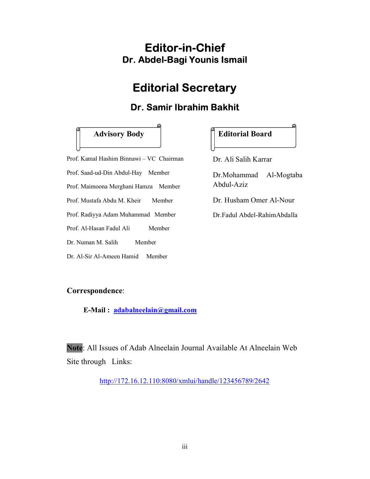# Editor-in-Chief Dr. Abdel-Bagi Younis Ismail

# Editorial Secretary

# Dr. Samir Ibrahim Bakhit

## Advisory Body | Editorial Board

Prof. Kamal Hashim Binnawi – VC Chairman Prof. Saad-ud-Din Abdul-Hay Member Prof. Maimoona Merghani Hamza Member Prof. Mustafa Abdu M. Kheir Member Prof. Radiyya Adam Muhammad Member Prof. Al-Hasan Fadul Ali Member Dr. Numan M. Salih Member

Dr. Al-Sir Al-Ameen Hamid Member

Dr. Ali Salih Karrar

Dr.Mohammad Al-Mogtaba Abdul-Aziz

Dr. Husham Omer Al-Nour

Dr.Fadul Abdel-RahimAbdalla

#### Correspondence:

E-Mail : adabalneelain@gmail.com

Note: All Issues of Adab Alneelain Journal Available At Alneelain Web Site through Links:

http://172.16.12.110:8080/xmlui/handle/123456789/2642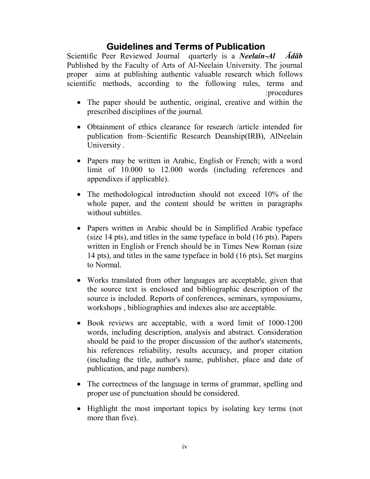# Guidelines and Terms of Publication

Scientific Peer Reviewed Journal quarterly is a *Neelain-Al Ādāb* Published by the Faculty of Arts of Al-Neelain University. The journal proper aims at publishing authentic valuable research which follows scientific methods, according to the following rules, terms and : procedures

- The paper should be authentic, original, creative and within the prescribed disciplines of the journal.
- Obtainment of ethics clearance for research /article intended for publication from–Scientific Research Deanship(IRB), AlNeelain University .
- Papers may be written in Arabic, English or French; with a word limit of 10.000 to 12.000 words (including references and appendixes if applicable).
- The methodological introduction should not exceed 10% of the whole paper, and the content should be written in paragraphs without subtitles.
- Papers written in Arabic should be in Simplified Arabic typeface (size 14 pts), and titles in the same typeface in bold (16 pts). Papers written in English or French should be in Times New Roman (size 14 pts), and titles in the same typeface in bold (16 pts). Set margins to Normal.
- Works translated from other languages are acceptable, given that the source text is enclosed and bibliographic description of the source is included. Reports of conferences, seminars, symposiums, workshops , bibliographies and indexes also are acceptable.
- Book reviews are acceptable, with a word limit of 1000-1200 words, including description, analysis and abstract. Consideration should be paid to the proper discussion of the author's statements, his references reliability, results accuracy, and proper citation (including the title, author's name, publisher, place and date of publication, and page numbers).
- The correctness of the language in terms of grammar, spelling and proper use of punctuation should be considered.
- Highlight the most important topics by isolating key terms (not more than five).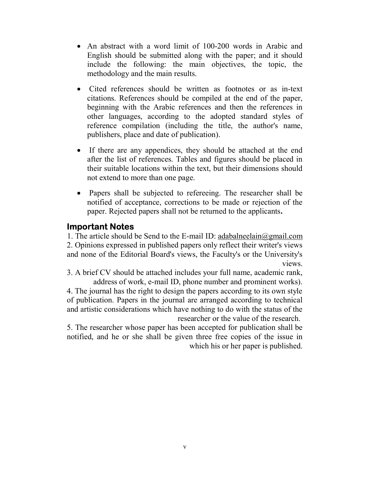- An abstract with a word limit of 100-200 words in Arabic and English should be submitted along with the paper; and it should include the following: the main objectives, the topic, the methodology and the main results.
- Cited references should be written as footnotes or as in-text citations. References should be compiled at the end of the paper, beginning with the Arabic references and then the references in other languages, according to the adopted standard styles of reference compilation (including the title, the author's name, publishers, place and date of publication).
- If there are any appendices, they should be attached at the end after the list of references. Tables and figures should be placed in their suitable locations within the text, but their dimensions should not extend to more than one page.
- Papers shall be subjected to refereeing. The researcher shall be notified of acceptance, corrections to be made or rejection of the paper. Rejected papers shall not be returned to the applicants.

### Important Notes

1. The article should be Send to the E-mail ID: adabalneelain@gmail.com 2. Opinions expressed in published papers only reflect their writer's views and none of the Editorial Board's views, the Faculty's or the University's views.

3. A brief CV should be attached includes your full name, academic rank, address of work, e-mail ID, phone number and prominent works).

4. The journal has the right to design the papers according to its own style of publication. Papers in the journal are arranged according to technical and artistic considerations which have nothing to do with the status of the researcher or the value of the research.

5. The researcher whose paper has been accepted for publication shall be notified, and he or she shall be given three free copies of the issue in which his or her paper is published.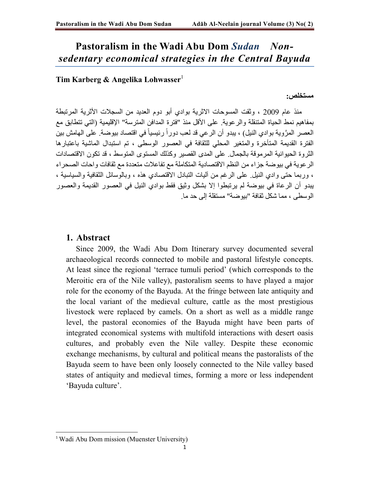# Pastoralism in the Wadi Abu Dom Sudan Nonsedentary economical strategies in the Central Bayuda

#### Tim Karberg & Angelika Lohwasser $<sup>1</sup>$ </sup>

مستخلص :

منذ عام 2009 ، وثقت المسوحات الاثرية بوادي أبو دوم العديد من السجلات الأثرية المرتبطة بمفاهيم نمط الحياة المتنقلة والرعوية. على الأقل منذ " فترة المدافن المترسة" الإقليمية ( التي تتطابق مع العصر المرَّوية بوادي النيل) ، يبدو أن الرعي قد لعب دوراً رئيسياً في اقتصاد بيوضة. على الهامش بين الفترة القديمة المتأخرة والمتغير المحلي للثقافة في العصور الوسطى ، تم استبدال الماشية باعتبارها الثر وة الحيو انية المر موقة بالجمال. على المدى القصير وكذلك المستوى المتوسط ، قد تكون الاقتصادات الرعوية في بيوضة جزاء من النظم الاقتصادية المتكاملة مع تفاعلات متعددة مع ثقافات واحات الصحراء ، وربما حتى وادي النيل. على الرغم من آليات التبادل الاقتصادي هذه ، وبالوسائل الثقافية والسياسية ، يبدو أن الرعاة في بيوضة لم يرتبطوا إلا بشكل وثيق فقط بوادي النيل في العصور القديمة والعصور الوسطى ، مما شكل ثقافة "بيوضة" مستقلة إلى حد ما.

#### 1. Abstract

 Since 2009, the Wadi Abu Dom Itinerary survey documented several archaeological records connected to mobile and pastoral lifestyle concepts. At least since the regional 'terrace tumuli period' (which corresponds to the Meroitic era of the Nile valley), pastoralism seems to have played a major role for the economy of the Bayuda. At the fringe between late antiquity and the local variant of the medieval culture, cattle as the most prestigious livestock were replaced by camels. On a short as well as a middle range level, the pastoral economies of the Bayuda might have been parts of integrated economical systems with multifold interactions with desert oasis cultures, and probably even the Nile valley. Despite these economic exchange mechanisms, by cultural and political means the pastoralists of the Bayuda seem to have been only loosely connected to the Nile valley based states of antiquity and medieval times, forming a more or less independent 'Bayuda culture'.

<sup>&</sup>lt;sup>1</sup> Wadi Abu Dom mission (Muenster University)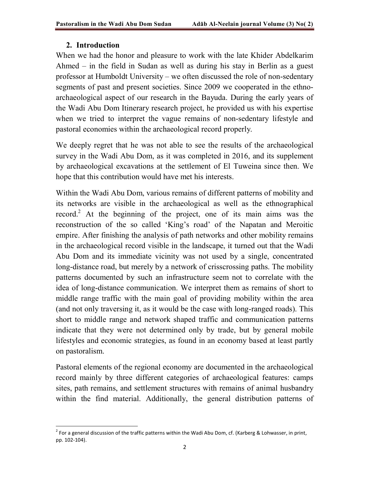#### 2. Introduction

**.** 

When we had the honor and pleasure to work with the late Khider Abdelkarim Ahmed – in the field in Sudan as well as during his stay in Berlin as a guest professor at Humboldt University – we often discussed the role of non-sedentary segments of past and present societies. Since 2009 we cooperated in the ethnoarchaeological aspect of our research in the Bayuda. During the early years of the Wadi Abu Dom Itinerary research project, he provided us with his expertise when we tried to interpret the vague remains of non-sedentary lifestyle and pastoral economies within the archaeological record properly.

We deeply regret that he was not able to see the results of the archaeological survey in the Wadi Abu Dom, as it was completed in 2016, and its supplement by archaeological excavations at the settlement of El Tuweina since then. We hope that this contribution would have met his interests.

Within the Wadi Abu Dom, various remains of different patterns of mobility and its networks are visible in the archaeological as well as the ethnographical record.<sup>2</sup> At the beginning of the project, one of its main aims was the reconstruction of the so called 'King's road' of the Napatan and Meroitic empire. After finishing the analysis of path networks and other mobility remains in the archaeological record visible in the landscape, it turned out that the Wadi Abu Dom and its immediate vicinity was not used by a single, concentrated long-distance road, but merely by a network of crisscrossing paths. The mobility patterns documented by such an infrastructure seem not to correlate with the idea of long-distance communication. We interpret them as remains of short to middle range traffic with the main goal of providing mobility within the area (and not only traversing it, as it would be the case with long-ranged roads). This short to middle range and network shaped traffic and communication patterns indicate that they were not determined only by trade, but by general mobile lifestyles and economic strategies, as found in an economy based at least partly on pastoralism.

Pastoral elements of the regional economy are documented in the archaeological record mainly by three different categories of archaeological features: camps sites, path remains, and settlement structures with remains of animal husbandry within the find material. Additionally, the general distribution patterns of

 $^2$  For a general discussion of the traffic patterns within the Wadi Abu Dom, cf. (Karberg & Lohwasser, in print, pp. 102-104).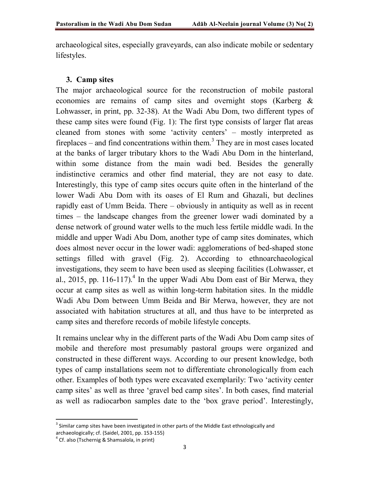archaeological sites, especially graveyards, can also indicate mobile or sedentary lifestyles.

#### 3. Camp sites

The major archaeological source for the reconstruction of mobile pastoral economies are remains of camp sites and overnight stops (Karberg & Lohwasser, in print, pp. 32-38). At the Wadi Abu Dom, two different types of these camp sites were found (Fig. 1): The first type consists of larger flat areas cleaned from stones with some 'activity centers' – mostly interpreted as fireplaces – and find concentrations within them.<sup>3</sup> They are in most cases located at the banks of larger tributary khors to the Wadi Abu Dom in the hinterland, within some distance from the main wadi bed. Besides the generally indistinctive ceramics and other find material, they are not easy to date. Interestingly, this type of camp sites occurs quite often in the hinterland of the lower Wadi Abu Dom with its oases of El Rum and Ghazali, but declines rapidly east of Umm Beida. There – obviously in antiquity as well as in recent times – the landscape changes from the greener lower wadi dominated by a dense network of ground water wells to the much less fertile middle wadi. In the middle and upper Wadi Abu Dom, another type of camp sites dominates, which does almost never occur in the lower wadi: agglomerations of bed-shaped stone settings filled with gravel (Fig. 2). According to ethnoarchaeological investigations, they seem to have been used as sleeping facilities (Lohwasser, et al., 2015, pp. 116-117).<sup>4</sup> In the upper Wadi Abu Dom east of Bir Merwa, they occur at camp sites as well as within long-term habitation sites. In the middle Wadi Abu Dom between Umm Beida and Bir Merwa, however, they are not associated with habitation structures at all, and thus have to be interpreted as camp sites and therefore records of mobile lifestyle concepts.

It remains unclear why in the different parts of the Wadi Abu Dom camp sites of mobile and therefore most presumably pastoral groups were organized and constructed in these different ways. According to our present knowledge, both types of camp installations seem not to differentiate chronologically from each other. Examples of both types were excavated exemplarily: Two 'activity center camp sites' as well as three 'gravel bed camp sites'. In both cases, find material as well as radiocarbon samples date to the 'box grave period'. Interestingly,

 $3$  Similar camp sites have been investigated in other parts of the Middle East ethnologically and archaeologically; cf. (Saidel, 2001, pp. 153-155)

<sup>&</sup>lt;sup>4</sup> Cf. also (Tschernig & Shamsalola, in print)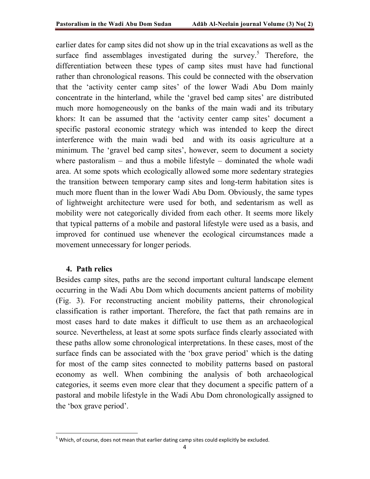earlier dates for camp sites did not show up in the trial excavations as well as the surface find assemblages investigated during the survey.<sup>5</sup> Therefore, the differentiation between these types of camp sites must have had functional rather than chronological reasons. This could be connected with the observation that the 'activity center camp sites' of the lower Wadi Abu Dom mainly concentrate in the hinterland, while the 'gravel bed camp sites' are distributed much more homogeneously on the banks of the main wadi and its tributary khors: It can be assumed that the 'activity center camp sites' document a specific pastoral economic strategy which was intended to keep the direct interference with the main wadi bed and with its oasis agriculture at a minimum. The 'gravel bed camp sites', however, seem to document a society where pastoralism – and thus a mobile lifestyle – dominated the whole wadi area. At some spots which ecologically allowed some more sedentary strategies the transition between temporary camp sites and long-term habitation sites is much more fluent than in the lower Wadi Abu Dom. Obviously, the same types of lightweight architecture were used for both, and sedentarism as well as mobility were not categorically divided from each other. It seems more likely that typical patterns of a mobile and pastoral lifestyle were used as a basis, and improved for continued use whenever the ecological circumstances made a movement unnecessary for longer periods.

#### 4. Path relics

 $\overline{a}$ 

Besides camp sites, paths are the second important cultural landscape element occurring in the Wadi Abu Dom which documents ancient patterns of mobility (Fig. 3). For reconstructing ancient mobility patterns, their chronological classification is rather important. Therefore, the fact that path remains are in most cases hard to date makes it difficult to use them as an archaeological source. Nevertheless, at least at some spots surface finds clearly associated with these paths allow some chronological interpretations. In these cases, most of the surface finds can be associated with the 'box grave period' which is the dating for most of the camp sites connected to mobility patterns based on pastoral economy as well. When combining the analysis of both archaeological categories, it seems even more clear that they document a specific pattern of a pastoral and mobile lifestyle in the Wadi Abu Dom chronologically assigned to the 'box grave period'.

 $<sup>5</sup>$  Which, of course, does not mean that earlier dating camp sites could explicitly be excluded.</sup>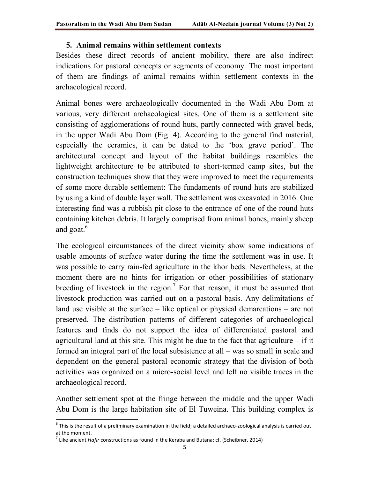#### 5. Animal remains within settlement contexts

Besides these direct records of ancient mobility, there are also indirect indications for pastoral concepts or segments of economy. The most important of them are findings of animal remains within settlement contexts in the archaeological record.

Animal bones were archaeologically documented in the Wadi Abu Dom at various, very different archaeological sites. One of them is a settlement site consisting of agglomerations of round huts, partly connected with gravel beds, in the upper Wadi Abu Dom (Fig. 4). According to the general find material, especially the ceramics, it can be dated to the 'box grave period'. The architectural concept and layout of the habitat buildings resembles the lightweight architecture to be attributed to short-termed camp sites, but the construction techniques show that they were improved to meet the requirements of some more durable settlement: The fundaments of round huts are stabilized by using a kind of double layer wall. The settlement was excavated in 2016. One interesting find was a rubbish pit close to the entrance of one of the round huts containing kitchen debris. It largely comprised from animal bones, mainly sheep and goat.<sup>6</sup>

The ecological circumstances of the direct vicinity show some indications of usable amounts of surface water during the time the settlement was in use. It was possible to carry rain-fed agriculture in the khor beds. Nevertheless, at the moment there are no hints for irrigation or other possibilities of stationary breeding of livestock in the region.<sup>7</sup> For that reason, it must be assumed that livestock production was carried out on a pastoral basis. Any delimitations of land use visible at the surface – like optical or physical demarcations – are not preserved. The distribution patterns of different categories of archaeological features and finds do not support the idea of differentiated pastoral and agricultural land at this site. This might be due to the fact that agriculture  $-$  if it formed an integral part of the local subsistence at all – was so small in scale and dependent on the general pastoral economic strategy that the division of both activities was organized on a micro-social level and left no visible traces in the archaeological record.

Another settlement spot at the fringe between the middle and the upper Wadi Abu Dom is the large habitation site of El Tuweina. This building complex is

 $^6$  This is the result of a preliminary examination in the field; a detailed archaeo-zoological analysis is carried out at the moment.

 $^7$  Like ancient Hafir constructions as found in the Keraba and Butana; cf. (Scheibner, 2014)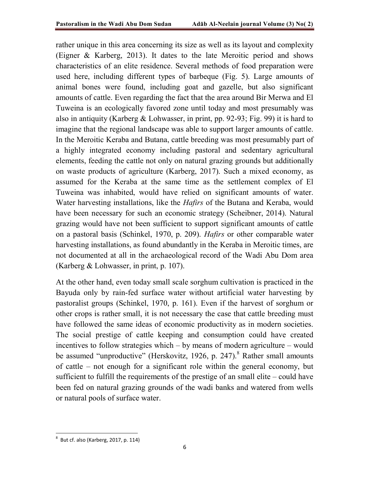rather unique in this area concerning its size as well as its layout and complexity (Eigner & Karberg, 2013). It dates to the late Meroitic period and shows characteristics of an elite residence. Several methods of food preparation were used here, including different types of barbeque (Fig. 5). Large amounts of animal bones were found, including goat and gazelle, but also significant amounts of cattle. Even regarding the fact that the area around Bir Merwa and El Tuweina is an ecologically favored zone until today and most presumably was also in antiquity (Karberg & Lohwasser, in print, pp. 92-93; Fig. 99) it is hard to imagine that the regional landscape was able to support larger amounts of cattle. In the Meroitic Keraba and Butana, cattle breeding was most presumably part of a highly integrated economy including pastoral and sedentary agricultural elements, feeding the cattle not only on natural grazing grounds but additionally on waste products of agriculture (Karberg, 2017). Such a mixed economy, as assumed for the Keraba at the same time as the settlement complex of El Tuweina was inhabited, would have relied on significant amounts of water. Water harvesting installations, like the *Hafirs* of the Butana and Keraba, would have been necessary for such an economic strategy (Scheibner, 2014). Natural grazing would have not been sufficient to support significant amounts of cattle on a pastoral basis (Schinkel, 1970, p. 209). Hafirs or other comparable water harvesting installations, as found abundantly in the Keraba in Meroitic times, are not documented at all in the archaeological record of the Wadi Abu Dom area (Karberg & Lohwasser, in print, p. 107).

At the other hand, even today small scale sorghum cultivation is practiced in the Bayuda only by rain-fed surface water without artificial water harvesting by pastoralist groups (Schinkel, 1970, p. 161). Even if the harvest of sorghum or other crops is rather small, it is not necessary the case that cattle breeding must have followed the same ideas of economic productivity as in modern societies. The social prestige of cattle keeping and consumption could have created incentives to follow strategies which – by means of modern agriculture – would be assumed "unproductive" (Herskovitz, 1926, p. 247).<sup>8</sup> Rather small amounts of cattle – not enough for a significant role within the general economy, but sufficient to fulfill the requirements of the prestige of an small elite – could have been fed on natural grazing grounds of the wadi banks and watered from wells or natural pools of surface water.

 $8$  But cf. also (Karberg, 2017, p. 114)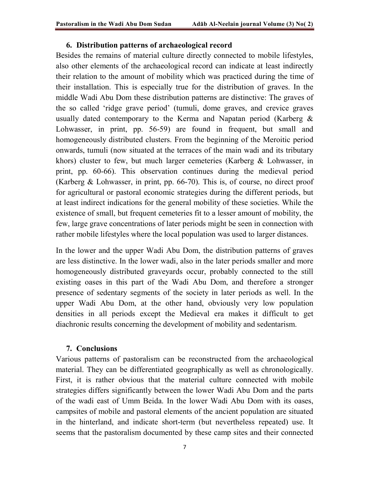#### 6. Distribution patterns of archaeological record

Besides the remains of material culture directly connected to mobile lifestyles, also other elements of the archaeological record can indicate at least indirectly their relation to the amount of mobility which was practiced during the time of their installation. This is especially true for the distribution of graves. In the middle Wadi Abu Dom these distribution patterns are distinctive: The graves of the so called 'ridge grave period' (tumuli, dome graves, and crevice graves usually dated contemporary to the Kerma and Napatan period (Karberg & Lohwasser, in print, pp. 56-59) are found in frequent, but small and homogeneously distributed clusters. From the beginning of the Meroitic period onwards, tumuli (now situated at the terraces of the main wadi and its tributary khors) cluster to few, but much larger cemeteries (Karberg & Lohwasser, in print, pp. 60-66). This observation continues during the medieval period (Karberg & Lohwasser, in print, pp. 66-70). This is, of course, no direct proof for agricultural or pastoral economic strategies during the different periods, but at least indirect indications for the general mobility of these societies. While the existence of small, but frequent cemeteries fit to a lesser amount of mobility, the few, large grave concentrations of later periods might be seen in connection with rather mobile lifestyles where the local population was used to larger distances.

In the lower and the upper Wadi Abu Dom, the distribution patterns of graves are less distinctive. In the lower wadi, also in the later periods smaller and more homogeneously distributed graveyards occur, probably connected to the still existing oases in this part of the Wadi Abu Dom, and therefore a stronger presence of sedentary segments of the society in later periods as well. In the upper Wadi Abu Dom, at the other hand, obviously very low population densities in all periods except the Medieval era makes it difficult to get diachronic results concerning the development of mobility and sedentarism.

#### 7. Conclusions

Various patterns of pastoralism can be reconstructed from the archaeological material. They can be differentiated geographically as well as chronologically. First, it is rather obvious that the material culture connected with mobile strategies differs significantly between the lower Wadi Abu Dom and the parts of the wadi east of Umm Beida. In the lower Wadi Abu Dom with its oases, campsites of mobile and pastoral elements of the ancient population are situated in the hinterland, and indicate short-term (but nevertheless repeated) use. It seems that the pastoralism documented by these camp sites and their connected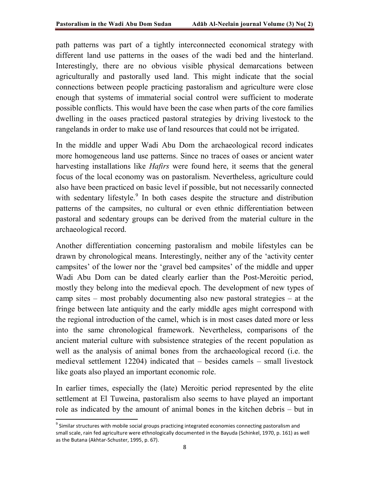path patterns was part of a tightly interconnected economical strategy with different land use patterns in the oases of the wadi bed and the hinterland. Interestingly, there are no obvious visible physical demarcations between agriculturally and pastorally used land. This might indicate that the social connections between people practicing pastoralism and agriculture were close enough that systems of immaterial social control were sufficient to moderate possible conflicts. This would have been the case when parts of the core families dwelling in the oases practiced pastoral strategies by driving livestock to the rangelands in order to make use of land resources that could not be irrigated.

In the middle and upper Wadi Abu Dom the archaeological record indicates more homogeneous land use patterns. Since no traces of oases or ancient water harvesting installations like *Hafirs* were found here, it seems that the general focus of the local economy was on pastoralism. Nevertheless, agriculture could also have been practiced on basic level if possible, but not necessarily connected with sedentary lifestyle.<sup>9</sup> In both cases despite the structure and distribution patterns of the campsites, no cultural or even ethnic differentiation between pastoral and sedentary groups can be derived from the material culture in the archaeological record.

Another differentiation concerning pastoralism and mobile lifestyles can be drawn by chronological means. Interestingly, neither any of the 'activity center campsites' of the lower nor the 'gravel bed campsites' of the middle and upper Wadi Abu Dom can be dated clearly earlier than the Post-Meroitic period, mostly they belong into the medieval epoch. The development of new types of camp sites – most probably documenting also new pastoral strategies – at the fringe between late antiquity and the early middle ages might correspond with the regional introduction of the camel, which is in most cases dated more or less into the same chronological framework. Nevertheless, comparisons of the ancient material culture with subsistence strategies of the recent population as well as the analysis of animal bones from the archaeological record (i.e. the medieval settlement 12204) indicated that – besides camels – small livestock like goats also played an important economic role.

In earlier times, especially the (late) Meroitic period represented by the elite settlement at El Tuweina, pastoralism also seems to have played an important role as indicated by the amount of animal bones in the kitchen debris – but in

<sup>&</sup>lt;sup>9</sup> Similar structures with mobile social groups practicing integrated economies connecting pastoralism and small scale, rain fed agriculture were ethnologically documented in the Bayuda (Schinkel, 1970, p. 161) as well as the Butana (Akhtar-Schuster, 1995, p. 67).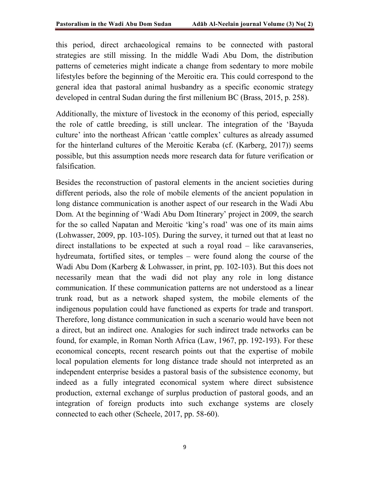this period, direct archaeological remains to be connected with pastoral strategies are still missing. In the middle Wadi Abu Dom, the distribution patterns of cemeteries might indicate a change from sedentary to more mobile lifestyles before the beginning of the Meroitic era. This could correspond to the general idea that pastoral animal husbandry as a specific economic strategy developed in central Sudan during the first millenium BC (Brass, 2015, p. 258).

Additionally, the mixture of livestock in the economy of this period, especially the role of cattle breeding, is still unclear. The integration of the 'Bayuda culture' into the northeast African 'cattle complex' cultures as already assumed for the hinterland cultures of the Meroitic Keraba (cf. (Karberg, 2017)) seems possible, but this assumption needs more research data for future verification or falsification.

Besides the reconstruction of pastoral elements in the ancient societies during different periods, also the role of mobile elements of the ancient population in long distance communication is another aspect of our research in the Wadi Abu Dom. At the beginning of 'Wadi Abu Dom Itinerary' project in 2009, the search for the so called Napatan and Meroitic 'king's road' was one of its main aims (Lohwasser, 2009, pp. 103-105). During the survey, it turned out that at least no direct installations to be expected at such a royal road – like caravanseries, hydreumata, fortified sites, or temples – were found along the course of the Wadi Abu Dom (Karberg & Lohwasser, in print, pp. 102-103). But this does not necessarily mean that the wadi did not play any role in long distance communication. If these communication patterns are not understood as a linear trunk road, but as a network shaped system, the mobile elements of the indigenous population could have functioned as experts for trade and transport. Therefore, long distance communication in such a scenario would have been not a direct, but an indirect one. Analogies for such indirect trade networks can be found, for example, in Roman North Africa (Law, 1967, pp. 192-193). For these economical concepts, recent research points out that the expertise of mobile local population elements for long distance trade should not interpreted as an independent enterprise besides a pastoral basis of the subsistence economy, but indeed as a fully integrated economical system where direct subsistence production, external exchange of surplus production of pastoral goods, and an integration of foreign products into such exchange systems are closely connected to each other (Scheele, 2017, pp. 58-60).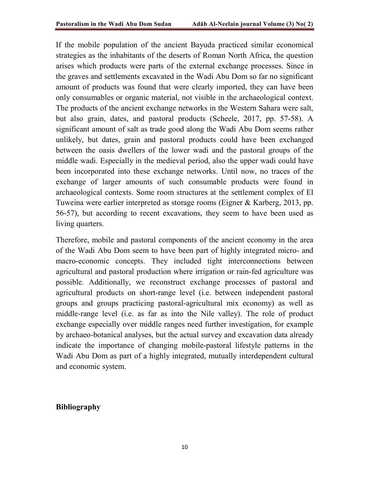If the mobile population of the ancient Bayuda practiced similar economical strategies as the inhabitants of the deserts of Roman North Africa, the question arises which products were parts of the external exchange processes. Since in the graves and settlements excavated in the Wadi Abu Dom so far no significant amount of products was found that were clearly imported, they can have been only consumables or organic material, not visible in the archaeological context. The products of the ancient exchange networks in the Western Sahara were salt, but also grain, dates, and pastoral products (Scheele, 2017, pp. 57-58). A significant amount of salt as trade good along the Wadi Abu Dom seems rather unlikely, but dates, grain and pastoral products could have been exchanged between the oasis dwellers of the lower wadi and the pastoral groups of the middle wadi. Especially in the medieval period, also the upper wadi could have been incorporated into these exchange networks. Until now, no traces of the exchange of larger amounts of such consumable products were found in archaeological contexts. Some room structures at the settlement complex of El Tuweina were earlier interpreted as storage rooms (Eigner & Karberg, 2013, pp. 56-57), but according to recent excavations, they seem to have been used as living quarters.

Therefore, mobile and pastoral components of the ancient economy in the area of the Wadi Abu Dom seem to have been part of highly integrated micro- and macro-economic concepts. They included tight interconnections between agricultural and pastoral production where irrigation or rain-fed agriculture was possible. Additionally, we reconstruct exchange processes of pastoral and agricultural products on short-range level (i.e. between independent pastoral groups and groups practicing pastoral-agricultural mix economy) as well as middle-range level (i.e. as far as into the Nile valley). The role of product exchange especially over middle ranges need further investigation, for example by archaeo-botanical analyses, but the actual survey and excavation data already indicate the importance of changing mobile-pastoral lifestyle patterns in the Wadi Abu Dom as part of a highly integrated, mutually interdependent cultural and economic system.

#### Bibliography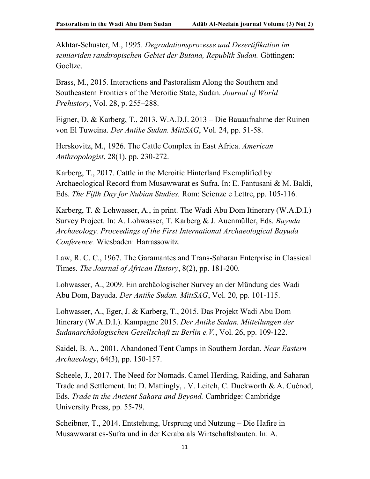Akhtar-Schuster, M., 1995. Degradationsprozesse und Desertifikation im semiariden randtropischen Gebiet der Butana, Republik Sudan. Göttingen: Goeltze.

Brass, M., 2015. Interactions and Pastoralism Along the Southern and Southeastern Frontiers of the Meroitic State, Sudan. Journal of World Prehistory, Vol. 28, p. 255–288.

Eigner, D. & Karberg, T., 2013. W.A.D.I. 2013 – Die Bauaufnahme der Ruinen von El Tuweina. Der Antike Sudan. MittSAG, Vol. 24, pp. 51-58.

Herskovitz, M., 1926. The Cattle Complex in East Africa. American Anthropologist, 28(1), pp. 230-272.

Karberg, T., 2017. Cattle in the Meroitic Hinterland Exemplified by Archaeological Record from Musawwarat es Sufra. In: E. Fantusani & M. Baldi, Eds. The Fifth Day for Nubian Studies. Rom: Scienze e Lettre, pp. 105-116.

Karberg, T. & Lohwasser, A., in print. The Wadi Abu Dom Itinerary (W.A.D.I.) Survey Project. In: A. Lohwasser, T. Karberg & J. Auenmüller, Eds. Bayuda Archaeology. Proceedings of the First International Archaeological Bayuda Conference. Wiesbaden: Harrassowitz.

Law, R. C. C., 1967. The Garamantes and Trans-Saharan Enterprise in Classical Times. The Journal of African History, 8(2), pp. 181-200.

Lohwasser, A., 2009. Ein archäologischer Survey an der Mündung des Wadi Abu Dom, Bayuda. Der Antike Sudan. MittSAG, Vol. 20, pp. 101-115.

Lohwasser, A., Eger, J. & Karberg, T., 2015. Das Projekt Wadi Abu Dom Itinerary (W.A.D.I.). Kampagne 2015. Der Antike Sudan. Mitteilungen der Sudanarchäologischen Gesellschaft zu Berlin e.V., Vol. 26, pp. 109-122.

Saidel, B. A., 2001. Abandoned Tent Camps in Southern Jordan. Near Eastern Archaeology, 64(3), pp. 150-157.

Scheele, J., 2017. The Need for Nomads. Camel Herding, Raiding, and Saharan Trade and Settlement. In: D. Mattingly, . V. Leitch, C. Duckworth & A. Cuénod, Eds. Trade in the Ancient Sahara and Beyond. Cambridge: Cambridge University Press, pp. 55-79.

Scheibner, T., 2014. Entstehung, Ursprung und Nutzung – Die Hafire in Musawwarat es-Sufra und in der Keraba als Wirtschaftsbauten. In: A.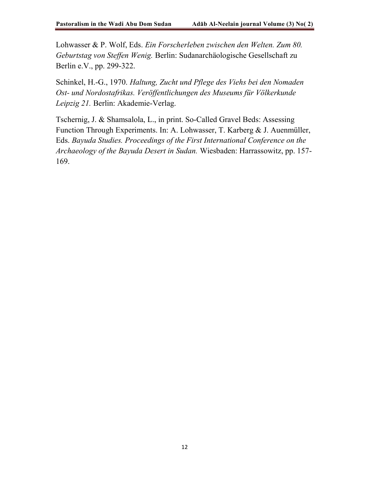Lohwasser & P. Wolf, Eds. Ein Forscherleben zwischen den Welten. Zum 80. Geburtstag von Steffen Wenig. Berlin: Sudanarchäologische Gesellschaft zu Berlin e.V., pp. 299-322.

Schinkel, H.-G., 1970. Haltung, Zucht und Pflege des Viehs bei den Nomaden Ost- und Nordostafrikas. Veröffentlichungen des Museums für Völkerkunde Leipzig 21. Berlin: Akademie-Verlag.

Tschernig, J. & Shamsalola, L., in print. So-Called Gravel Beds: Assessing Function Through Experiments. In: A. Lohwasser, T. Karberg & J. Auenmüller, Eds. Bayuda Studies. Proceedings of the First International Conference on the Archaeology of the Bayuda Desert in Sudan. Wiesbaden: Harrassowitz, pp. 157- 169.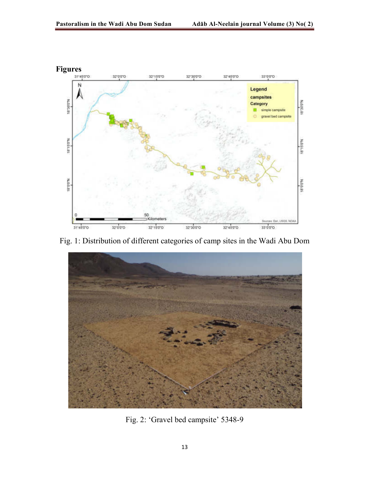

Fig. 1: Distribution of different categories of camp sites in the Wadi Abu Dom



Fig. 2: 'Gravel bed campsite' 5348-9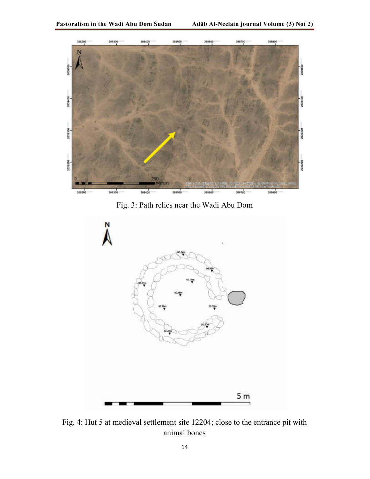

Fig. 3: Path relics near the Wadi Abu Dom



Fig. 4: Hut 5 at medieval settlement site 12204; close to the entrance pit with animal bones